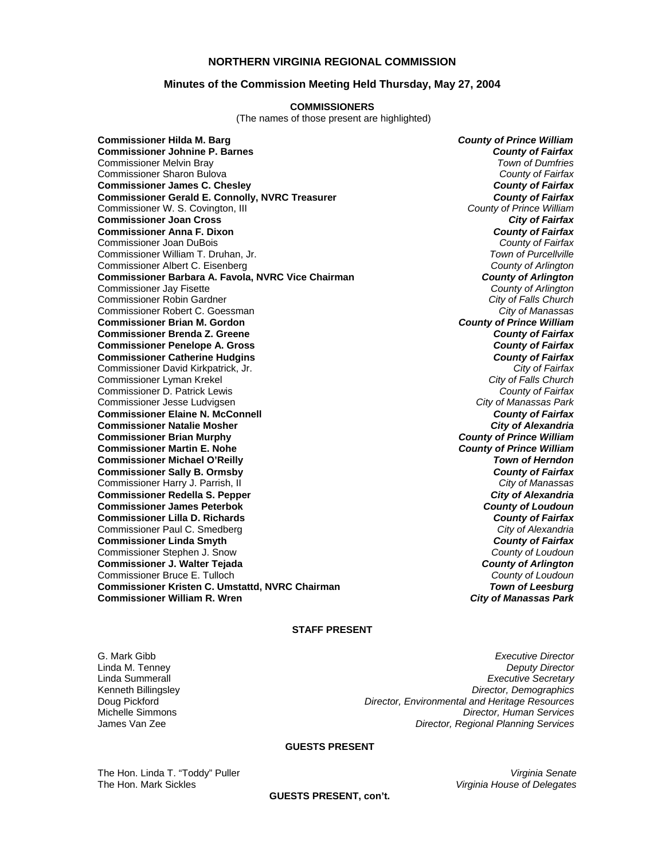## **NORTHERN VIRGINIA REGIONAL COMMISSION**

### **Minutes of the Commission Meeting Held Thursday, May 27, 2004**

#### **COMMISSIONERS**

(The names of those present are highlighted)

**Commissioner Hilda M. Barg** *County of Prince William* **Commissioner Johnine P. Barnes** *County of Fairfax* Commissioner Melvin Bray *Town of Dumfries* Commissioner Sharon Bulova *County of Fairfax* **Commissioner James C. Chesley** *County of Fairfax* **Commissioner Gerald E. Connolly, NVRC Treasurer** *County of Fairfax***<br>Commissioner W. S. Covington, III and Treasurer** *and Treasurer and County of Prince William* Commissioner W. S. Covington, III *County of Prince William* **Commissioner Joan Cross** *City of Fairfax* **Commissioner Anna F. Dixon** *County of Fairfax* Commissioner Joan DuBois *County of Fairfax* Commissioner William T. Druhan, Jr. Commissioner Albert C. Eisenberg *County of Arlington* **Commissioner Barbara A. Favola, NVRC Vice Chairman** *County of Arlington**County of Arlington***<br>County of Arlington** *County of Arlington* Commissioner Jay Fisette *County of Arlington* Commissioner Robin Gardner *City of Falls Church* Commissioner Robert C. Goessman *City of Manassas* **Commissioner Brian M. Gordon** *County of Prince William* **Commissioner Brenda Z. Greene** *County of Fairfax* **Commissioner Penelope A. Gross** *County of Fairfax* **Commissioner Catherine Hudgins** *County of Fairfax* Commissioner David Kirkpatrick, Jr. *City of Fairfax* Commissioner Lyman Krekel *City of Falls Church* Commissioner D. Patrick Lewis *County of Fairfax* Commissioner Jesse Ludvigsen *City of Manassas Park* **Commissioner Elaine N. McConnell** *County of Fairfax* **Commissioner Natalie Mosher** *City of Alexandria* **Commissioner Brian Murphy** *County of Prince William* **Commissioner Martin E. Nohe Commissioner Michael O'Reilly** *Town of Herndon* **Commissioner Sally B. Ormsby** *County of Fairfax* Commissioner Harry J. Parrish, II *City of Manassas* **Commissioner Redella S. Pepper** *City of Alexandria* **Commissioner James Peterbok** *County of Loudoun* **Commissioner Lilla D. Richards** *County of Fairfax* Commissioner Paul C. Smedberg *City of Alexandria* **Commissioner Linda Smyth** *County of Fairfax* Commissioner Stephen J. Snow *County of Loudoun* **Commissioner J. Walter Tejada** *County of Arlington* Commissioner Bruce E. Tulloch *County of Loudoun* **Commissioner Kristen C. Umstattd, NVRC Chairman** *Town of Leesburg* **Commissioner William R. Wren** *City of Manassas Park*

### **STAFF PRESENT**

G. Mark Gibb *Executive Director* Linda M. Tenney *Deputy Director* Linda Summerall *Executive Secretary* Kenneth Billingsley *Director, Demographics* Doug Pickford *Director, Environmental and Heritage Resources* Michelle Simmons *Director, Human Services* **Director, Regional Planning Services** 

### **GUESTS PRESENT**

The Hon. Linda T. "Toddy" Puller *Virginia Senate*  The Hon. Mark Sickles *Virginia House of Delegates*

**GUESTS PRESENT, con't.**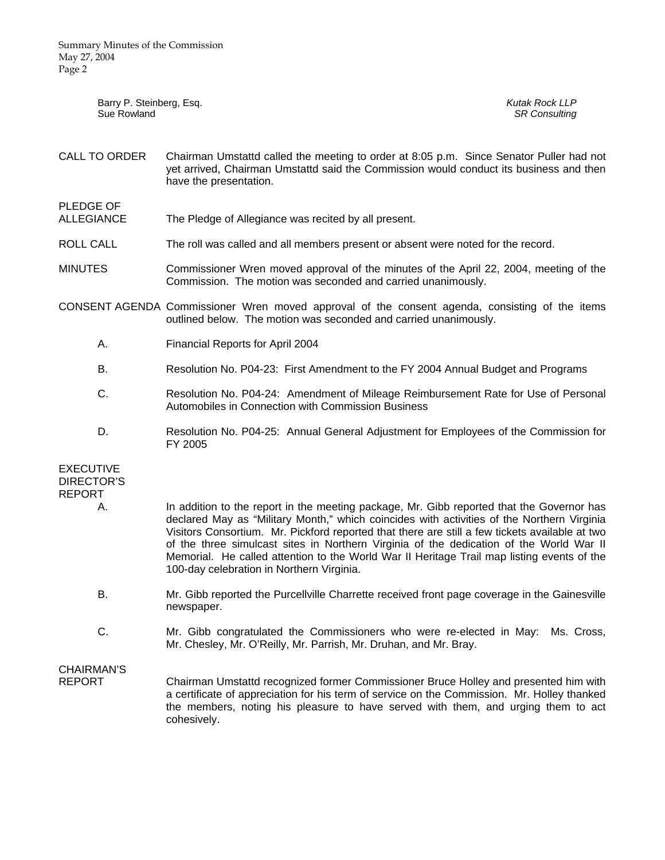| Barry P. Steinberg, Esq.<br>Sue Rowland |                                                                                                                                                                                                                                                                                                                                                                                                                                                                                                                                 | <b>Kutak Rock LLP</b><br><b>SR Consulting</b> |  |
|-----------------------------------------|---------------------------------------------------------------------------------------------------------------------------------------------------------------------------------------------------------------------------------------------------------------------------------------------------------------------------------------------------------------------------------------------------------------------------------------------------------------------------------------------------------------------------------|-----------------------------------------------|--|
| CALL TO ORDER                           | Chairman Umstattd called the meeting to order at 8:05 p.m. Since Senator Puller had not<br>yet arrived, Chairman Umstattd said the Commission would conduct its business and then<br>have the presentation.                                                                                                                                                                                                                                                                                                                     |                                               |  |
| PLEDGE OF<br><b>ALLEGIANCE</b>          | The Pledge of Allegiance was recited by all present.                                                                                                                                                                                                                                                                                                                                                                                                                                                                            |                                               |  |
| ROLL CALL                               | The roll was called and all members present or absent were noted for the record.                                                                                                                                                                                                                                                                                                                                                                                                                                                |                                               |  |
| <b>MINUTES</b>                          | Commissioner Wren moved approval of the minutes of the April 22, 2004, meeting of the<br>Commission. The motion was seconded and carried unanimously.                                                                                                                                                                                                                                                                                                                                                                           |                                               |  |
|                                         | CONSENT AGENDA Commissioner Wren moved approval of the consent agenda, consisting of the items<br>outlined below. The motion was seconded and carried unanimously.                                                                                                                                                                                                                                                                                                                                                              |                                               |  |
| А.                                      | Financial Reports for April 2004                                                                                                                                                                                                                                                                                                                                                                                                                                                                                                |                                               |  |
| В.                                      | Resolution No. P04-23: First Amendment to the FY 2004 Annual Budget and Programs                                                                                                                                                                                                                                                                                                                                                                                                                                                |                                               |  |
| C.                                      | Resolution No. P04-24: Amendment of Mileage Reimbursement Rate for Use of Personal<br>Automobiles in Connection with Commission Business                                                                                                                                                                                                                                                                                                                                                                                        |                                               |  |
| D.                                      | Resolution No. P04-25: Annual General Adjustment for Employees of the Commission for<br>FY 2005                                                                                                                                                                                                                                                                                                                                                                                                                                 |                                               |  |
| <b>EXECUTIVE</b><br><b>DIRECTOR'S</b>   |                                                                                                                                                                                                                                                                                                                                                                                                                                                                                                                                 |                                               |  |
| <b>REPORT</b><br>А.                     | In addition to the report in the meeting package, Mr. Gibb reported that the Governor has<br>declared May as "Military Month," which coincides with activities of the Northern Virginia<br>Visitors Consortium. Mr. Pickford reported that there are still a few tickets available at two<br>of the three simulcast sites in Northern Virginia of the dedication of the World War II<br>Memorial. He called attention to the World War II Heritage Trail map listing events of the<br>100-day celebration in Northern Virginia. |                                               |  |
| В.                                      | Mr. Gibb reported the Purcellville Charrette received front page coverage in the Gainesville<br>newspaper.                                                                                                                                                                                                                                                                                                                                                                                                                      |                                               |  |
| C.                                      | Mr. Gibb congratulated the Commissioners who were re-elected in May: Ms. Cross,<br>Mr. Chesley, Mr. O'Reilly, Mr. Parrish, Mr. Druhan, and Mr. Bray.                                                                                                                                                                                                                                                                                                                                                                            |                                               |  |
| CHAIRMAN'S<br><b>REPORT</b>             | Chairman Umstattd recognized former Commissioner Bruce Holley and presented him with                                                                                                                                                                                                                                                                                                                                                                                                                                            |                                               |  |

REPORT Chairman Umstattd recognized former Commissioner Bruce Holley and presented him with a certificate of appreciation for his term of service on the Commission. Mr. Holley thanked the members, noting his pleasure to have served with them, and urging them to act cohesively.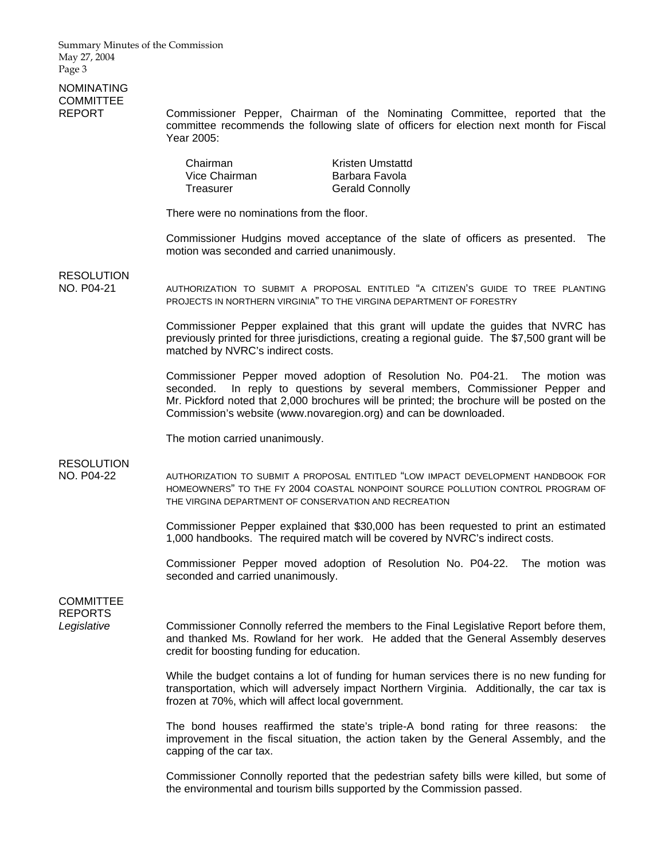# NOMINATING **COMMITTEE**

REPORT Commissioner Pepper, Chairman of the Nominating Committee, reported that the committee recommends the following slate of officers for election next month for Fiscal Year 2005:

| Chairman      | Kristen Umstattd       |
|---------------|------------------------|
| Vice Chairman | Barbara Favola         |
| Treasurer     | <b>Gerald Connolly</b> |

There were no nominations from the floor.

 Commissioner Hudgins moved acceptance of the slate of officers as presented. The motion was seconded and carried unanimously.

RESOLUTION

NO. P04-21 AUTHORIZATION TO SUBMIT A PROPOSAL ENTITLED "A CITIZEN'S GUIDE TO TREE PLANTING PROJECTS IN NORTHERN VIRGINIA" TO THE VIRGINA DEPARTMENT OF FORESTRY

> Commissioner Pepper explained that this grant will update the guides that NVRC has previously printed for three jurisdictions, creating a regional guide. The \$7,500 grant will be matched by NVRC's indirect costs.

> Commissioner Pepper moved adoption of Resolution No. P04-21. The motion was seconded. In reply to questions by several members, Commissioner Pepper and Mr. Pickford noted that 2,000 brochures will be printed; the brochure will be posted on the Commission's website (www.novaregion.org) and can be downloaded.

The motion carried unanimously.

**RESOLUTION** 

NO. P04-22 AUTHORIZATION TO SUBMIT A PROPOSAL ENTITLED "LOW IMPACT DEVELOPMENT HANDBOOK FOR HOMEOWNERS" TO THE FY 2004 COASTAL NONPOINT SOURCE POLLUTION CONTROL PROGRAM OF THE VIRGINA DEPARTMENT OF CONSERVATION AND RECREATION

> Commissioner Pepper explained that \$30,000 has been requested to print an estimated 1,000 handbooks. The required match will be covered by NVRC's indirect costs.

> Commissioner Pepper moved adoption of Resolution No. P04-22. The motion was seconded and carried unanimously.

**COMMITTEE** REPORTS

Legislative **Commissioner Connolly referred the members to the Final Legislative Report before them,** and thanked Ms. Rowland for her work. He added that the General Assembly deserves credit for boosting funding for education.

> While the budget contains a lot of funding for human services there is no new funding for transportation, which will adversely impact Northern Virginia. Additionally, the car tax is frozen at 70%, which will affect local government.

> The bond houses reaffirmed the state's triple-A bond rating for three reasons: the improvement in the fiscal situation, the action taken by the General Assembly, and the capping of the car tax.

> Commissioner Connolly reported that the pedestrian safety bills were killed, but some of the environmental and tourism bills supported by the Commission passed.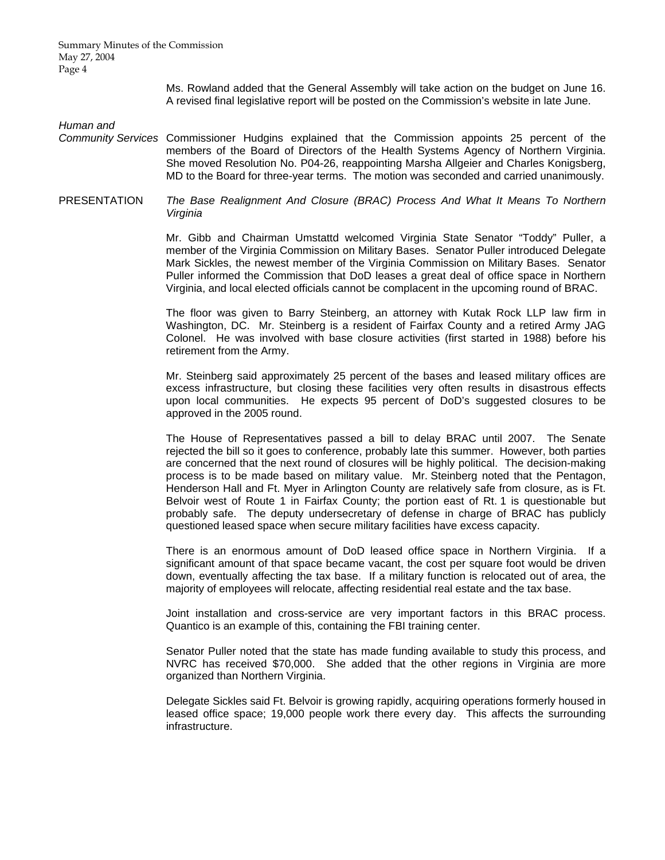Ms. Rowland added that the General Assembly will take action on the budget on June 16. A revised final legislative report will be posted on the Commission's website in late June.

*Human and* 

- *Community Services* Commissioner Hudgins explained that the Commission appoints 25 percent of the members of the Board of Directors of the Health Systems Agency of Northern Virginia. She moved Resolution No. P04-26, reappointing Marsha Allgeier and Charles Konigsberg, MD to the Board for three-year terms. The motion was seconded and carried unanimously.
- PRESENTATION *The Base Realignment And Closure (BRAC) Process And What It Means To Northern Virginia*

Mr. Gibb and Chairman Umstattd welcomed Virginia State Senator "Toddy" Puller, a member of the Virginia Commission on Military Bases. Senator Puller introduced Delegate Mark Sickles, the newest member of the Virginia Commission on Military Bases. Senator Puller informed the Commission that DoD leases a great deal of office space in Northern Virginia, and local elected officials cannot be complacent in the upcoming round of BRAC.

The floor was given to Barry Steinberg, an attorney with Kutak Rock LLP law firm in Washington, DC. Mr. Steinberg is a resident of Fairfax County and a retired Army JAG Colonel. He was involved with base closure activities (first started in 1988) before his retirement from the Army.

Mr. Steinberg said approximately 25 percent of the bases and leased military offices are excess infrastructure, but closing these facilities very often results in disastrous effects upon local communities. He expects 95 percent of DoD's suggested closures to be approved in the 2005 round.

The House of Representatives passed a bill to delay BRAC until 2007. The Senate rejected the bill so it goes to conference, probably late this summer. However, both parties are concerned that the next round of closures will be highly political. The decision-making process is to be made based on military value. Mr. Steinberg noted that the Pentagon, Henderson Hall and Ft. Myer in Arlington County are relatively safe from closure, as is Ft. Belvoir west of Route 1 in Fairfax County; the portion east of Rt. 1 is questionable but probably safe. The deputy undersecretary of defense in charge of BRAC has publicly questioned leased space when secure military facilities have excess capacity.

There is an enormous amount of DoD leased office space in Northern Virginia. If a significant amount of that space became vacant, the cost per square foot would be driven down, eventually affecting the tax base. If a military function is relocated out of area, the majority of employees will relocate, affecting residential real estate and the tax base.

Joint installation and cross-service are very important factors in this BRAC process. Quantico is an example of this, containing the FBI training center.

Senator Puller noted that the state has made funding available to study this process, and NVRC has received \$70,000. She added that the other regions in Virginia are more organized than Northern Virginia.

Delegate Sickles said Ft. Belvoir is growing rapidly, acquiring operations formerly housed in leased office space; 19,000 people work there every day. This affects the surrounding infrastructure.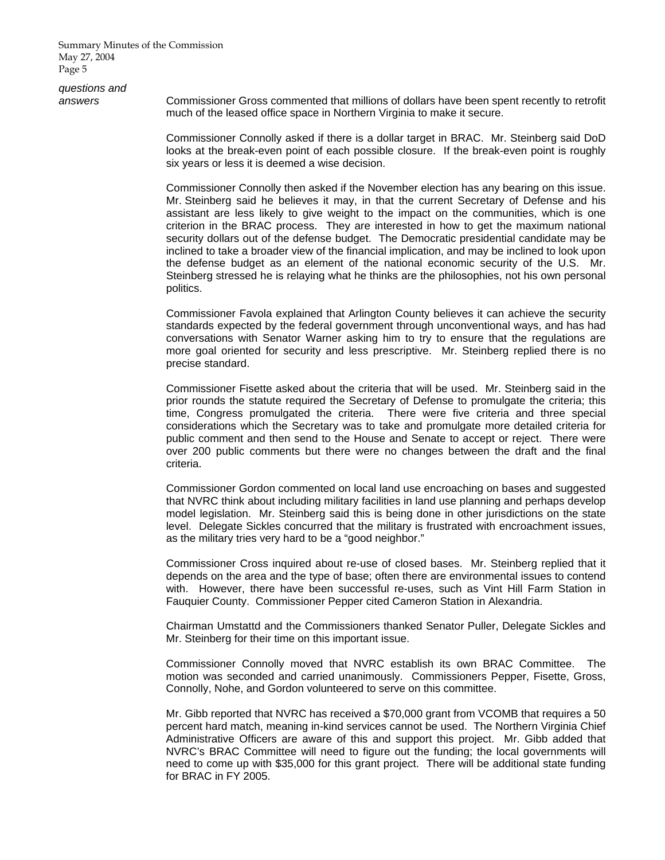*questions and* 

*answers* Commissioner Gross commented that millions of dollars have been spent recently to retrofit much of the leased office space in Northern Virginia to make it secure.

> Commissioner Connolly asked if there is a dollar target in BRAC. Mr. Steinberg said DoD looks at the break-even point of each possible closure. If the break-even point is roughly six years or less it is deemed a wise decision.

> Commissioner Connolly then asked if the November election has any bearing on this issue. Mr. Steinberg said he believes it may, in that the current Secretary of Defense and his assistant are less likely to give weight to the impact on the communities, which is one criterion in the BRAC process. They are interested in how to get the maximum national security dollars out of the defense budget. The Democratic presidential candidate may be inclined to take a broader view of the financial implication, and may be inclined to look upon the defense budget as an element of the national economic security of the U.S. Mr. Steinberg stressed he is relaying what he thinks are the philosophies, not his own personal politics.

> Commissioner Favola explained that Arlington County believes it can achieve the security standards expected by the federal government through unconventional ways, and has had conversations with Senator Warner asking him to try to ensure that the regulations are more goal oriented for security and less prescriptive. Mr. Steinberg replied there is no precise standard.

> Commissioner Fisette asked about the criteria that will be used. Mr. Steinberg said in the prior rounds the statute required the Secretary of Defense to promulgate the criteria; this time, Congress promulgated the criteria. There were five criteria and three special considerations which the Secretary was to take and promulgate more detailed criteria for public comment and then send to the House and Senate to accept or reject. There were over 200 public comments but there were no changes between the draft and the final criteria.

> Commissioner Gordon commented on local land use encroaching on bases and suggested that NVRC think about including military facilities in land use planning and perhaps develop model legislation. Mr. Steinberg said this is being done in other jurisdictions on the state level. Delegate Sickles concurred that the military is frustrated with encroachment issues, as the military tries very hard to be a "good neighbor."

> Commissioner Cross inquired about re-use of closed bases. Mr. Steinberg replied that it depends on the area and the type of base; often there are environmental issues to contend with. However, there have been successful re-uses, such as Vint Hill Farm Station in Fauquier County. Commissioner Pepper cited Cameron Station in Alexandria.

> Chairman Umstattd and the Commissioners thanked Senator Puller, Delegate Sickles and Mr. Steinberg for their time on this important issue.

> Commissioner Connolly moved that NVRC establish its own BRAC Committee. The motion was seconded and carried unanimously. Commissioners Pepper, Fisette, Gross, Connolly, Nohe, and Gordon volunteered to serve on this committee.

> Mr. Gibb reported that NVRC has received a \$70,000 grant from VCOMB that requires a 50 percent hard match, meaning in-kind services cannot be used. The Northern Virginia Chief Administrative Officers are aware of this and support this project. Mr. Gibb added that NVRC's BRAC Committee will need to figure out the funding; the local governments will need to come up with \$35,000 for this grant project. There will be additional state funding for BRAC in FY 2005.